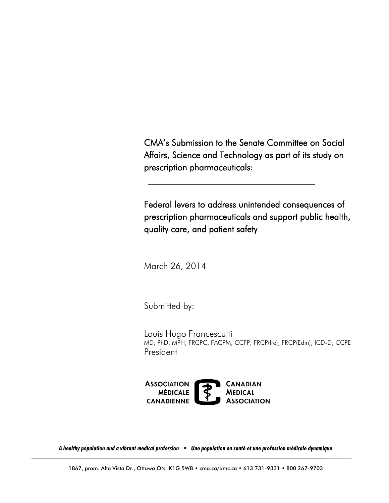CMA's Submission to the Senate Committee on Social Affairs, Science and Technology as part of its study on prescription pharmaceuticals:

Federal levers to address unintended consequences of prescription pharmaceuticals and support public health, quality care, and patient safety

March 26, 2014

Submitted by:

Louis Hugo Francescutti MD, PhD, MPH, FRCPC, FACPM, CCFP, FRCP(Ire), FRCP(Edin), ICD-D, CCPE President



*A healthy population and a vibrant medical profession • Une population en santé et une profession médicale dynamique*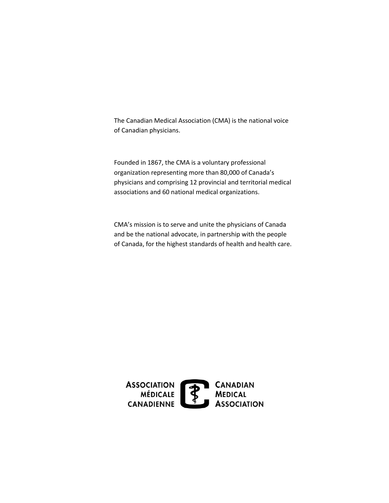The Canadian Medical Association (CMA) is the national voice of Canadian physicians.

Founded in 1867, the CMA is a voluntary professional organization representing more than 80,000 of Canada's physicians and comprising 12 provincial and territorial medical associations and 60 national medical organizations.

CMA's mission is to serve and unite the physicians of Canada and be the national advocate, in partnership with the people of Canada, for the highest standards of health and health care.

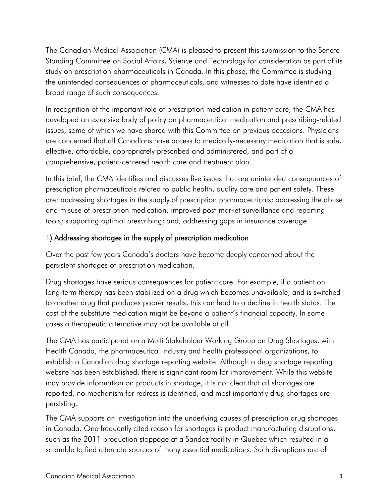The Canadian Medical Association (CMA) is pleased to present this submission to the Senate Standing Committee on Social Affairs, Science and Technology for consideration as part of its study on prescription pharmaceuticals in Canada. In this phase, the Committee is studying the unintended consequences of pharmaceuticals, and witnesses to date have identified a broad range of such consequences.

In recognition of the important role of prescription medication in patient care, the CMA has developed an extensive body of policy on pharmaceutical medication and prescribing-related issues, some of which we have shared with this Committee on previous occasions. Physicians are concerned that all Canadians have access to medically-necessary medication that is safe, effective, affordable, appropriately prescribed and administered, and part of a comprehensive, patient-centered health care and treatment plan.

In this brief, the CMA identifies and discusses five issues that are unintended consequences of prescription pharmaceuticals related to public health, quality care and patient safety. These are: addressing shortages in the supply of prescription pharmaceuticals; addressing the abuse and misuse of prescription medication; improved post-market surveillance and reporting tools; supporting optimal prescribing; and, addressing gaps in insurance coverage.

# 1) Addressing shortages in the supply of prescription medication

Over the past few years Canada's doctors have become deeply concerned about the persistent shortages of prescription medication.

Drug shortages have serious consequences for patient care. For example, if a patient on long-term therapy has been stabilized on a drug which becomes unavailable, and is switched to another drug that produces poorer results, this can lead to a decline in health status. The cost of the substitute medication might be beyond a patient's financial capacity. In some cases a therapeutic alternative may not be available at all.

The CMA has participated on a Multi Stakeholder Working Group on Drug Shortages, with Health Canada, the pharmaceutical industry and health professional organizations, to establish a Canadian drug shortage reporting website. Although a drug shortage reporting website has been established, there is significant room for improvement. While this website may provide information on products in shortage, it is not clear that all shortages are reported, no mechanism for redress is identified, and most importantly drug shortages are persisting.

The CMA supports an investigation into the underlying causes of prescription drug shortages in Canada. One frequently cited reason for shortages is product manufacturing disruptions, such as the 2011 production stoppage at a Sandoz facility in Quebec which resulted in a scramble to find alternate sources of many essential medications. Such disruptions are of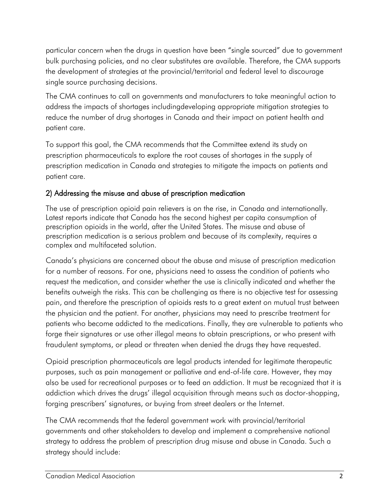particular concern when the drugs in question have been "single sourced" due to government bulk purchasing policies, and no clear substitutes are available. Therefore, the CMA supports the development of strategies at the provincial/territorial and federal level to discourage single source purchasing decisions.

The CMA continues to call on governments and manufacturers to take meaningful action to address the impacts of shortages includingdeveloping appropriate mitigation strategies to reduce the number of drug shortages in Canada and their impact on patient health and patient care.

To support this goal, the CMA recommends that the Committee extend its study on prescription pharmaceuticals to explore the root causes of shortages in the supply of prescription medication in Canada and strategies to mitigate the impacts on patients and patient care.

# 2) Addressing the misuse and abuse of prescription medication

The use of prescription opioid pain relievers is on the rise, in Canada and internationally. Latest reports indicate that Canada has the second highest per capita consumption of prescription opioids in the world, after the United States. The misuse and abuse of prescription medication is a serious problem and because of its complexity, requires a complex and multifaceted solution.

Canada's physicians are concerned about the abuse and misuse of prescription medication for a number of reasons. For one, physicians need to assess the condition of patients who request the medication, and consider whether the use is clinically indicated and whether the benefits outweigh the risks. This can be challenging as there is no objective test for assessing pain, and therefore the prescription of opioids rests to a great extent on mutual trust between the physician and the patient. For another, physicians may need to prescribe treatment for patients who become addicted to the medications. Finally, they are vulnerable to patients who forge their signatures or use other illegal means to obtain prescriptions, or who present with fraudulent symptoms, or plead or threaten when denied the drugs they have requested.

Opioid prescription pharmaceuticals are legal products intended for legitimate therapeutic purposes, such as pain management or palliative and end-of-life care. However, they may also be used for recreational purposes or to feed an addiction. It must be recognized that it is addiction which drives the drugs' illegal acquisition through means such as doctor-shopping, forging prescribers' signatures, or buying from street dealers or the Internet.

The CMA recommends that the federal government work with provincial/territorial governments and other stakeholders to develop and implement a comprehensive national strategy to address the problem of prescription drug misuse and abuse in Canada. Such a strategy should include: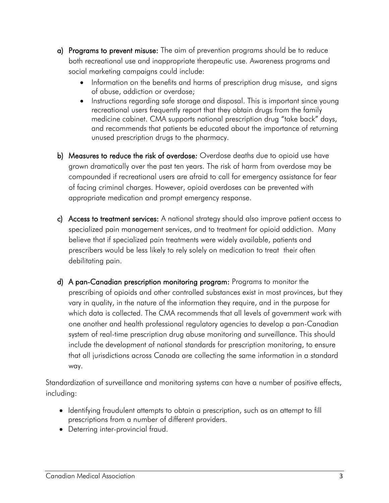- a) Programs to prevent misuse: The aim of prevention programs should be to reduce both recreational use and inappropriate therapeutic use. Awareness programs and social marketing campaigns could include:
	- Information on the benefits and harms of prescription drug misuse, and signs of abuse, addiction or overdose;
	- Instructions regarding safe storage and disposal. This is important since young recreational users frequently report that they obtain drugs from the family medicine cabinet. CMA supports national prescription drug "take back" days, and recommends that patients be educated about the importance of returning unused prescription drugs to the pharmacy.
- b) Measures to reduce the risk of overdose*:* Overdose deaths due to opioid use have grown dramatically over the past ten years. The risk of harm from overdose may be compounded if recreational users are afraid to call for emergency assistance for fear of facing criminal charges. However, opioid overdoses can be prevented with appropriate medication and prompt emergency response.
- c) Access to treatment services: A national strategy should also improve patient access to specialized pain management services, and to treatment for opioid addiction. Many believe that if specialized pain treatments were widely available, patients and prescribers would be less likely to rely solely on medication to treat their often debilitating pain.
- d) A pan-Canadian prescription monitoring program: Programs to monitor the prescribing of opioids and other controlled substances exist in most provinces, but they vary in quality, in the nature of the information they require, and in the purpose for which data is collected. The CMA recommends that all levels of government work with one another and health professional regulatory agencies to develop a pan-Canadian system of real-time prescription drug abuse monitoring and surveillance. This should include the development of national standards for prescription monitoring, to ensure that all jurisdictions across Canada are collecting the same information in a standard way.

Standardization of surveillance and monitoring systems can have a number of positive effects, including:

- Identifying fraudulent attempts to obtain a prescription, such as an attempt to fill prescriptions from a number of different providers.
- Deterring inter-provincial fraud.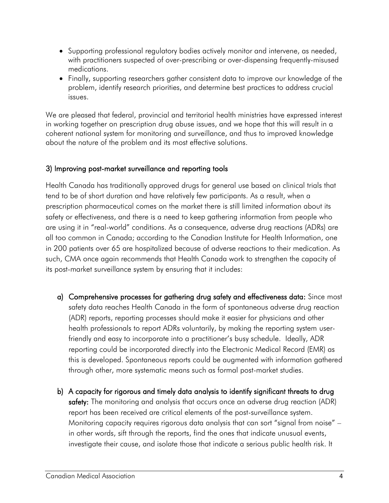- Supporting professional regulatory bodies actively monitor and intervene, as needed, with practitioners suspected of over-prescribing or over-dispensing frequently-misused medications.
- Finally, supporting researchers gather consistent data to improve our knowledge of the problem, identify research priorities, and determine best practices to address crucial issues.

We are pleased that federal, provincial and territorial health ministries have expressed interest in working together on prescription drug abuse issues, and we hope that this will result in a coherent national system for monitoring and surveillance, and thus to improved knowledge about the nature of the problem and its most effective solutions.

#### 3) Improving post-market surveillance and reporting tools

Health Canada has traditionally approved drugs for general use based on clinical trials that tend to be of short duration and have relatively few participants. As a result, when a prescription pharmaceutical comes on the market there is still limited information about its safety or effectiveness, and there is a need to keep gathering information from people who are using it in "real-world" conditions. As a consequence, adverse drug reactions (ADRs) are all too common in Canada; according to the Canadian Institute for Health Information, one in 200 patients over 65 are hospitalized because of adverse reactions to their medication. As such, CMA once again recommends that Health Canada work to strengthen the capacity of its post-market surveillance system by ensuring that it includes:

- a) Comprehensive processes for gathering drug safety and effectiveness data: Since most safety data reaches Health Canada in the form of spontaneous adverse drug reaction (ADR) reports, reporting processes should make it easier for physicians and other health professionals to report ADRs voluntarily, by making the reporting system userfriendly and easy to incorporate into a practitioner's busy schedule. Ideally, ADR reporting could be incorporated directly into the Electronic Medical Record (EMR) as this is developed. Spontaneous reports could be augmented with information gathered through other, more systematic means such as formal post-market studies.
- b) A capacity for rigorous and timely data analysis to identify significant threats to drug safety: The monitoring and analysis that occurs once an adverse drug reaction (ADR) report has been received are critical elements of the post-surveillance system. Monitoring capacity requires rigorous data analysis that can sort "signal from noise" – in other words, sift through the reports, find the ones that indicate unusual events, investigate their cause, and isolate those that indicate a serious public health risk. It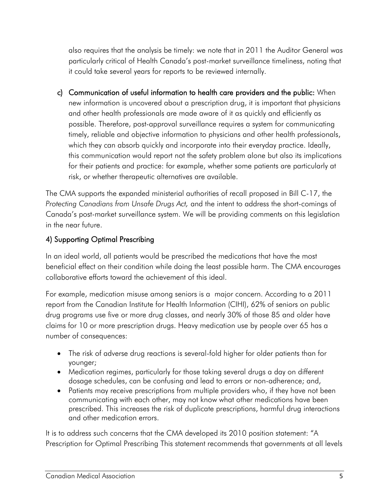also requires that the analysis be timely: we note that in 2011 the Auditor General was particularly critical of Health Canada's post-market surveillance timeliness, noting that it could take several years for reports to be reviewed internally.

c) Communication of useful information to health care providers and the public: When new information is uncovered about a prescription drug, it is important that physicians and other health professionals are made aware of it as quickly and efficiently as possible. Therefore, post-approval surveillance requires a system for communicating timely, reliable and objective information to physicians and other health professionals, which they can absorb quickly and incorporate into their everyday practice. Ideally, this communication would report not the safety problem alone but also its implications for their patients and practice: for example, whether some patients are particularly at risk, or whether therapeutic alternatives are available.

The CMA supports the expanded ministerial authorities of recall proposed in Bill C-17, the *Protecting Canadians from Unsafe Drugs Act,* and the intent to address the short-comings of Canada's post-market surveillance system. We will be providing comments on this legislation in the near future.

### 4) Supporting Optimal Prescribing

In an ideal world, all patients would be prescribed the medications that have the most beneficial effect on their condition while doing the least possible harm. The CMA encourages collaborative efforts toward the achievement of this ideal.

For example, medication misuse among seniors is a major concern. According to a 2011 report from the Canadian Institute for Health Information (CIHI), 62% of seniors on public drug programs use five or more drug classes, and nearly 30% of those 85 and older have claims for 10 or more prescription drugs. Heavy medication use by people over 65 has a number of consequences:

- The risk of adverse drug reactions is several-fold higher for older patients than for younger;
- Medication regimes, particularly for those taking several drugs a day on different dosage schedules, can be confusing and lead to errors or non-adherence; and,
- Patients may receive prescriptions from multiple providers who, if they have not been communicating with each other, may not know what other medications have been prescribed. This increases the risk of duplicate prescriptions, harmful drug interactions and other medication errors.

It is to address such concerns that the CMA developed its 2010 position statement: "A Prescription for Optimal Prescribing This statement recommends that governments at all levels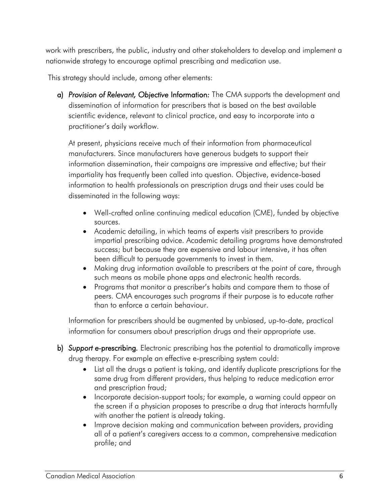work with prescribers, the public, industry and other stakeholders to develop and implement a nationwide strategy to encourage optimal prescribing and medication use.

This strategy should include, among other elements:

a) *Provision of Relevant, Objective* Information*:* The CMA supports the development and dissemination of information for prescribers that is based on the best available scientific evidence, relevant to clinical practice, and easy to incorporate into a practitioner's daily workflow.

At present, physicians receive much of their information from pharmaceutical manufacturers. Since manufacturers have generous budgets to support their information dissemination, their campaigns are impressive and effective; but their impartiality has frequently been called into question. Objective, evidence-based information to health professionals on prescription drugs and their uses could be disseminated in the following ways:

- Well-crafted online continuing medical education (CME), funded by objective sources.
- Academic detailing, in which teams of experts visit prescribers to provide impartial prescribing advice. Academic detailing programs have demonstrated success; but because they are expensive and labour intensive, it has often been difficult to persuade governments to invest in them.
- Making drug information available to prescribers at the point of care, through such means as mobile phone apps and electronic health records.
- Programs that monitor a prescriber's habits and compare them to those of peers. CMA encourages such programs if their purpose is to educate rather than to enforce a certain behaviour.

Information for prescribers should be augmented by unbiased, up-to-date, practical information for consumers about prescription drugs and their appropriate use.

- b) *Support e-*prescribing*.* Electronic prescribing has the potential to dramatically improve drug therapy. For example an effective e-prescribing system could:
	- List all the drugs a patient is taking, and identify duplicate prescriptions for the same drug from different providers, thus helping to reduce medication error and prescription fraud;
	- Incorporate decision-support tools; for example, a warning could appear on the screen if a physician proposes to prescribe a drug that interacts harmfully with another the patient is already taking.
	- Improve decision making and communication between providers, providing all of a patient's caregivers access to a common, comprehensive medication profile; and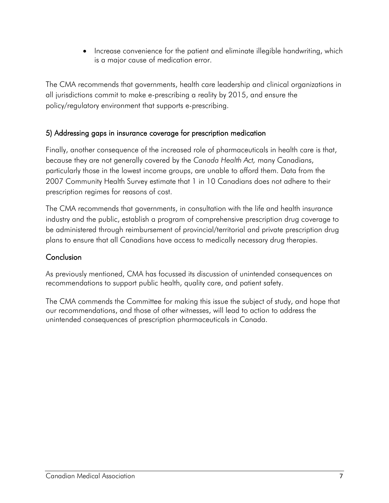Increase convenience for the patient and eliminate illegible handwriting, which is a major cause of medication error.

The CMA recommends that governments, health care leadership and clinical organizations in all jurisdictions commit to make e-prescribing a reality by 2015, and ensure the policy/regulatory environment that supports e-prescribing.

### 5) Addressing gaps in insurance coverage for prescription medication

Finally, another consequence of the increased role of pharmaceuticals in health care is that, because they are not generally covered by the *Canada Health Act,* many Canadians, particularly those in the lowest income groups, are unable to afford them. Data from the 2007 Community Health Survey estimate that 1 in 10 Canadians does not adhere to their prescription regimes for reasons of cost.

The CMA recommends that governments, in consultation with the life and health insurance industry and the public, establish a program of comprehensive prescription drug coverage to be administered through reimbursement of provincial/territorial and private prescription drug plans to ensure that all Canadians have access to medically necessary drug therapies.

## Conclusion

As previously mentioned, CMA has focussed its discussion of unintended consequences on recommendations to support public health, quality care, and patient safety.

The CMA commends the Committee for making this issue the subject of study, and hope that our recommendations, and those of other witnesses, will lead to action to address the unintended consequences of prescription pharmaceuticals in Canada.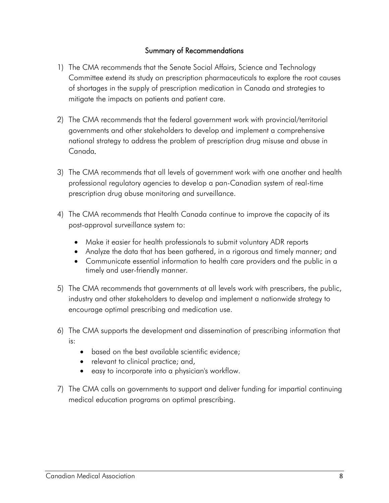#### Summary of Recommendations

- 1) The CMA recommends that the Senate Social Affairs, Science and Technology Committee extend its study on prescription pharmaceuticals to explore the root causes of shortages in the supply of prescription medication in Canada and strategies to mitigate the impacts on patients and patient care.
- 2) The CMA recommends that the federal government work with provincial/territorial governments and other stakeholders to develop and implement a comprehensive national strategy to address the problem of prescription drug misuse and abuse in Canada*.*
- 3) The CMA recommends that all levels of government work with one another and health professional regulatory agencies to develop a pan-Canadian system of real-time prescription drug abuse monitoring and surveillance.
- 4) The CMA recommends that Health Canada continue to improve the capacity of its post-approval surveillance system to:
	- Make it easier for health professionals to submit voluntary ADR reports
	- Analyze the data that has been gathered, in a rigorous and timely manner; and
	- Communicate essential information to health care providers and the public in a timely and user-friendly manner.
- 5) The CMA recommends that governments at all levels work with prescribers, the public, industry and other stakeholders to develop and implement a nationwide strategy to encourage optimal prescribing and medication use.
- 6) The CMA supports the development and dissemination of prescribing information that is:
	- based on the best available scientific evidence;
	- relevant to clinical practice; and,
	- easy to incorporate into a physician's workflow.
- 7) The CMA calls on governments to support and deliver funding for impartial continuing medical education programs on optimal prescribing.